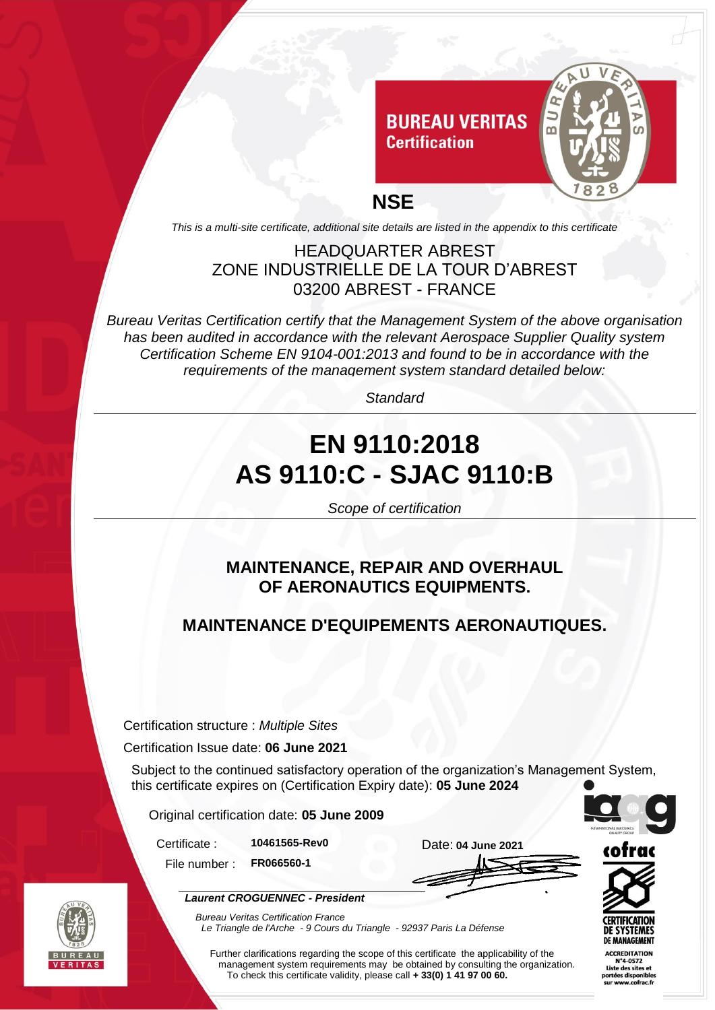

*This is a multi-site certificate, additional site details are listed in the appendix to this certificate*

#### HEADQUARTER ABREST ZONE INDUSTRIELLE DE LA TOUR D'ABREST 03200 ABREST - FRANCE

*Bureau Veritas Certification certify that the Management System of the above organisation has been audited in accordance with the relevant Aerospace Supplier Quality system Certification Scheme EN 9104-001:2013 and found to be in accordance with the requirements of the management system standard detailed below:*

*Standard*

# **EN 9110:2018 AS 9110:C - SJAC 9110:B**

*Scope of certification*

#### **MAINTENANCE, REPAIR AND OVERHAUL OF AERONAUTICS EQUIPMENTS.**

### **MAINTENANCE D'EQUIPEMENTS AERONAUTIQUES.**

Certification structure : *Multiple Sites*

Certification Issue date: **06 June 2021**

Subject to the continued satisfactory operation of the organization's Management System, this certificate expires on (Certification Expiry date): **05 June 2024**

Original certification date: **05 June 2009**

*Laurent CROGUENNEC - President*

Certificate : **10461565-Rev0** Date: **04 June 2021**

File number : **FR066560-1**



*Bureau Veritas Certification France Le Triangle de l'Arche - 9 Cours du Triangle - 92937 Paris La Défense* 

Further clarifications regarding the scope of this certificate the applicability of the management system requirements may be obtained by consulting the organization. To check this certificate validity, please call **+ 33(0) 1 41 97 00 60.**





**ACCREDITATION** N°4-0572 Liste des sites et tées disnonil